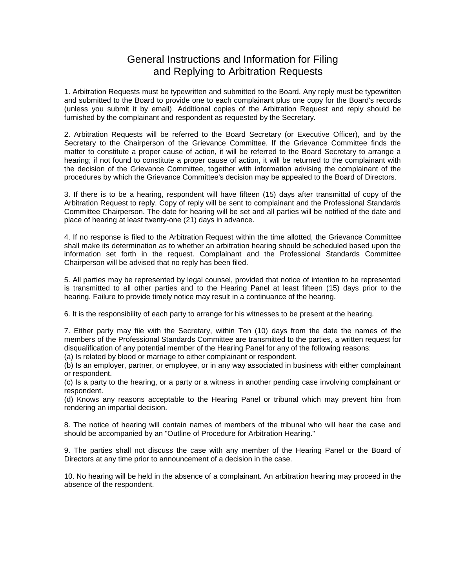# General Instructions and Information for Filing and Replying to Arbitration Requests

1. Arbitration Requests must be typewritten and submitted to the Board. Any reply must be typewritten and submitted to the Board to provide one to each complainant plus one copy for the Board's records (unless you submit it by email). Additional copies of the Arbitration Request and reply should be furnished by the complainant and respondent as requested by the Secretary.

2. Arbitration Requests will be referred to the Board Secretary (or Executive Officer), and by the Secretary to the Chairperson of the Grievance Committee. If the Grievance Committee finds the matter to constitute a proper cause of action, it will be referred to the Board Secretary to arrange a hearing; if not found to constitute a proper cause of action, it will be returned to the complainant with the decision of the Grievance Committee, together with information advising the complainant of the procedures by which the Grievance Committee's decision may be appealed to the Board of Directors.

3. If there is to be a hearing, respondent will have fifteen (15) days after transmittal of copy of the Arbitration Request to reply. Copy of reply will be sent to complainant and the Professional Standards Committee Chairperson. The date for hearing will be set and all parties will be notified of the date and place of hearing at least twenty-one (21) days in advance.

4. If no response is filed to the Arbitration Request within the time allotted, the Grievance Committee shall make its determination as to whether an arbitration hearing should be scheduled based upon the information set forth in the request. Complainant and the Professional Standards Committee Chairperson will be advised that no reply has been filed.

5. All parties may be represented by legal counsel, provided that notice of intention to be represented is transmitted to all other parties and to the Hearing Panel at least fifteen (15) days prior to the hearing. Failure to provide timely notice may result in a continuance of the hearing.

6. It is the responsibility of each party to arrange for his witnesses to be present at the hearing.

7. Either party may file with the Secretary, within Ten (10) days from the date the names of the members of the Professional Standards Committee are transmitted to the parties, a written request for disqualification of any potential member of the Hearing Panel for any of the following reasons:

(a) Is related by blood or marriage to either complainant or respondent.

(b) Is an employer, partner, or employee, or in any way associated in business with either complainant or respondent.

(c) Is a party to the hearing, or a party or a witness in another pending case involving complainant or respondent.

(d) Knows any reasons acceptable to the Hearing Panel or tribunal which may prevent him from rendering an impartial decision.

8. The notice of hearing will contain names of members of the tribunal who will hear the case and should be accompanied by an "Outline of Procedure for Arbitration Hearing."

9. The parties shall not discuss the case with any member of the Hearing Panel or the Board of Directors at any time prior to announcement of a decision in the case.

10. No hearing will be held in the absence of a complainant. An arbitration hearing may proceed in the absence of the respondent.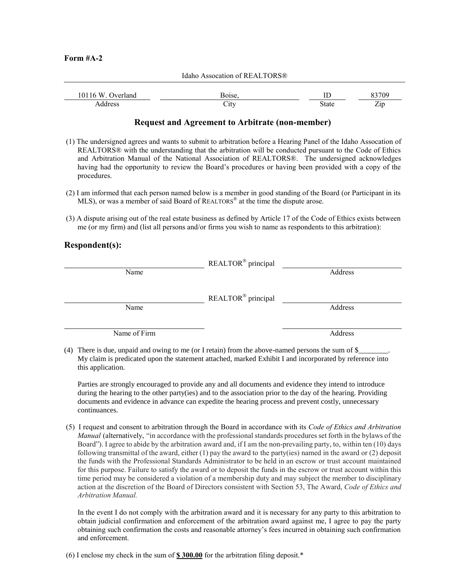#### **Form #A-2**

|                   | Idaho Assocation of REALTORS® |       |       |
|-------------------|-------------------------------|-------|-------|
| 10116 W. Overland | Boise,                        | ΙĽ    | 83709 |
| Address           | City                          | State | Zip   |

## **Request and Agreement to Arbitrate (non-member)**

- (1) The undersigned agrees and wants to submit to arbitration before a Hearing Panel of the Idaho Assocation of REALTORS® with the understanding that the arbitration will be conducted pursuant to the Code of Ethics and Arbitration Manual of the National Association of REALTORS®. The undersigned acknowledges having had the opportunity to review the Board's procedures or having been provided with a copy of the procedures.
- (2) I am informed that each person named below is a member in good standing of the Board (or Participant in its MLS), or was a member of said Board of REALTORS® at the time the dispute arose.
- (3) A dispute arising out of the real estate business as defined by Article 17 of the Code of Ethics exists between me (or my firm) and (list all persons and/or firms you wish to name as respondents to this arbitration):

### **Respondent(s):**

|              | REALTOR® principal             |         |  |
|--------------|--------------------------------|---------|--|
| Name         |                                | Address |  |
|              |                                |         |  |
|              | REALTOR <sup>®</sup> principal |         |  |
| Name         |                                | Address |  |
|              |                                |         |  |
| Name of Firm |                                | Address |  |
|              |                                |         |  |

(4) There is due, unpaid and owing to me (or I retain) from the above-named persons the sum of  $\$ My claim is predicated upon the statement attached, marked Exhibit I and incorporated by reference into this application.

Parties are strongly encouraged to provide any and all documents and evidence they intend to introduce during the hearing to the other party(ies) and to the association prior to the day of the hearing. Providing documents and evidence in advance can expedite the hearing process and prevent costly, unnecessary continuances.

(5) I request and consent to arbitration through the Board in accordance with its *Code of Ethics and Arbitration Manual* (alternatively, "in accordance with the professional standards procedures set forth in the bylaws of the Board"). I agree to abide by the arbitration award and, if I am the non-prevailing party, to, within ten (10) days following transmittal of the award, either (1) pay the award to the party(ies) named in the award or (2) deposit the funds with the Professional Standards Administrator to be held in an escrow or trust account maintained for this purpose. Failure to satisfy the award or to deposit the funds in the escrow or trust account within this time period may be considered a violation of a membership duty and may subject the member to disciplinary action at the discretion of the Board of Directors consistent with Section 53, The Award, *Code of Ethics and Arbitration Manual.*

In the event I do not comply with the arbitration award and it is necessary for any party to this arbitration to obtain judicial confirmation and enforcement of the arbitration award against me, I agree to pay the party obtaining such confirmation the costs and reasonable attorney's fees incurred in obtaining such confirmation and enforcement.

(6) I enclose my check in the sum of **\$ 300.00** for the arbitration filing deposit.\*